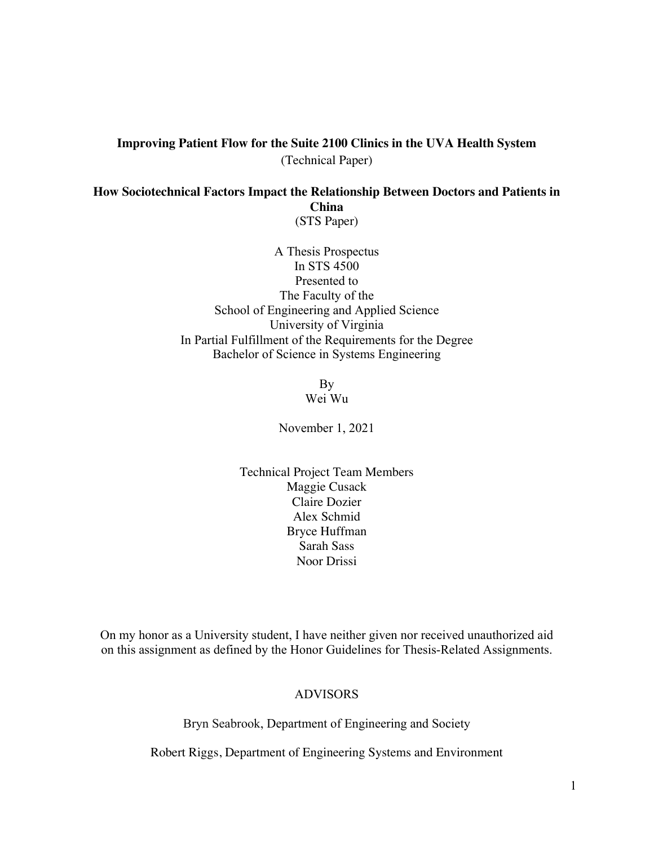# **Improving Patient Flow for the Suite 2100 Clinics in the UVA Health System** (Technical Paper)

**How Sociotechnical Factors Impact the Relationship Between Doctors and Patients in China** (STS Paper)

> A Thesis Prospectus In STS 4500 Presented to The Faculty of the School of Engineering and Applied Science University of Virginia In Partial Fulfillment of the Requirements for the Degree Bachelor of Science in Systems Engineering

> > By Wei Wu

November 1, 2021

Technical Project Team Members Maggie Cusack Claire Dozier Alex Schmid Bryce Huffman Sarah Sass Noor Drissi

On my honor as a University student, I have neither given nor received unauthorized aid on this assignment as defined by the Honor Guidelines for Thesis-Related Assignments.

## ADVISORS

Bryn Seabrook, Department of Engineering and Society

Robert Riggs, Department of Engineering Systems and Environment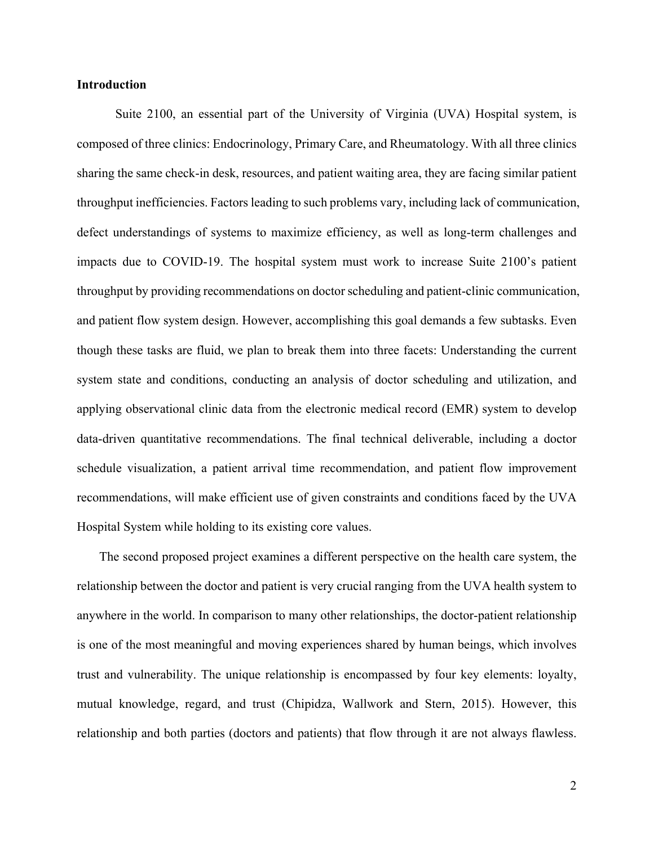## **Introduction**

Suite 2100, an essential part of the University of Virginia (UVA) Hospital system, is composed of three clinics: Endocrinology, Primary Care, and Rheumatology. With all three clinics sharing the same check-in desk, resources, and patient waiting area, they are facing similar patient throughput inefficiencies. Factors leading to such problems vary, including lack of communication, defect understandings of systems to maximize efficiency, as well as long-term challenges and impacts due to COVID-19. The hospital system must work to increase Suite 2100's patient throughput by providing recommendations on doctor scheduling and patient-clinic communication, and patient flow system design. However, accomplishing this goal demands a few subtasks. Even though these tasks are fluid, we plan to break them into three facets: Understanding the current system state and conditions, conducting an analysis of doctor scheduling and utilization, and applying observational clinic data from the electronic medical record (EMR) system to develop data-driven quantitative recommendations. The final technical deliverable, including a doctor schedule visualization, a patient arrival time recommendation, and patient flow improvement recommendations, will make efficient use of given constraints and conditions faced by the UVA Hospital System while holding to its existing core values.

 The second proposed project examines a different perspective on the health care system, the relationship between the doctor and patient is very crucial ranging from the UVA health system to anywhere in the world. In comparison to many other relationships, the doctor-patient relationship is one of the most meaningful and moving experiences shared by human beings, which involves trust and vulnerability. The unique relationship is encompassed by four key elements: loyalty, mutual knowledge, regard, and trust (Chipidza, Wallwork and Stern, 2015). However, this relationship and both parties (doctors and patients) that flow through it are not always flawless.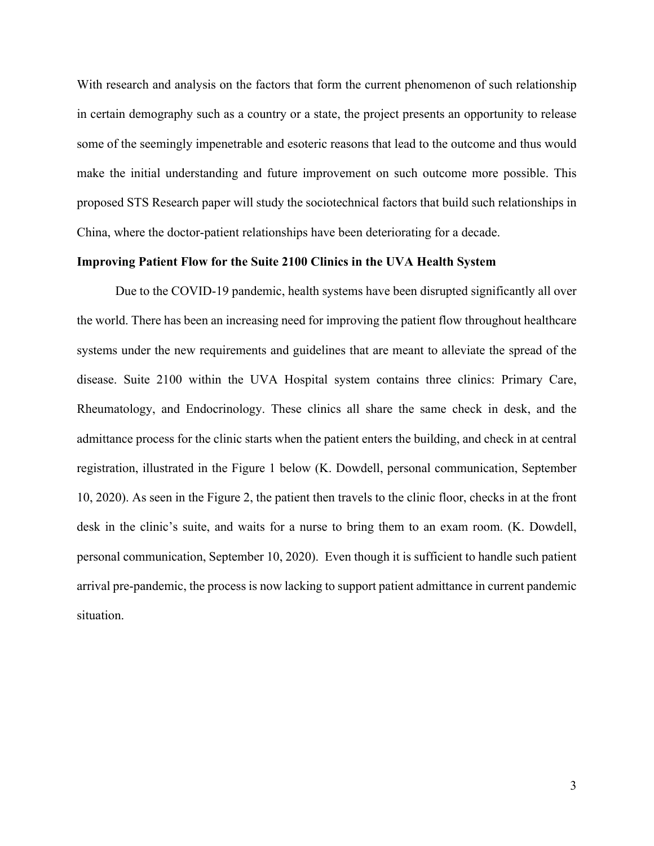With research and analysis on the factors that form the current phenomenon of such relationship in certain demography such as a country or a state, the project presents an opportunity to release some of the seemingly impenetrable and esoteric reasons that lead to the outcome and thus would make the initial understanding and future improvement on such outcome more possible. This proposed STS Research paper will study the sociotechnical factors that build such relationships in China, where the doctor-patient relationships have been deteriorating for a decade.

## **Improving Patient Flow for the Suite 2100 Clinics in the UVA Health System**

Due to the COVID-19 pandemic, health systems have been disrupted significantly all over the world. There has been an increasing need for improving the patient flow throughout healthcare systems under the new requirements and guidelines that are meant to alleviate the spread of the disease. Suite 2100 within the UVA Hospital system contains three clinics: Primary Care, Rheumatology, and Endocrinology. These clinics all share the same check in desk, and the admittance process for the clinic starts when the patient enters the building, and check in at central registration, illustrated in the Figure 1 below (K. Dowdell, personal communication, September 10, 2020). As seen in the Figure 2, the patient then travels to the clinic floor, checks in at the front desk in the clinic's suite, and waits for a nurse to bring them to an exam room. (K. Dowdell, personal communication, September 10, 2020). Even though it is sufficient to handle such patient arrival pre-pandemic, the process is now lacking to support patient admittance in current pandemic situation.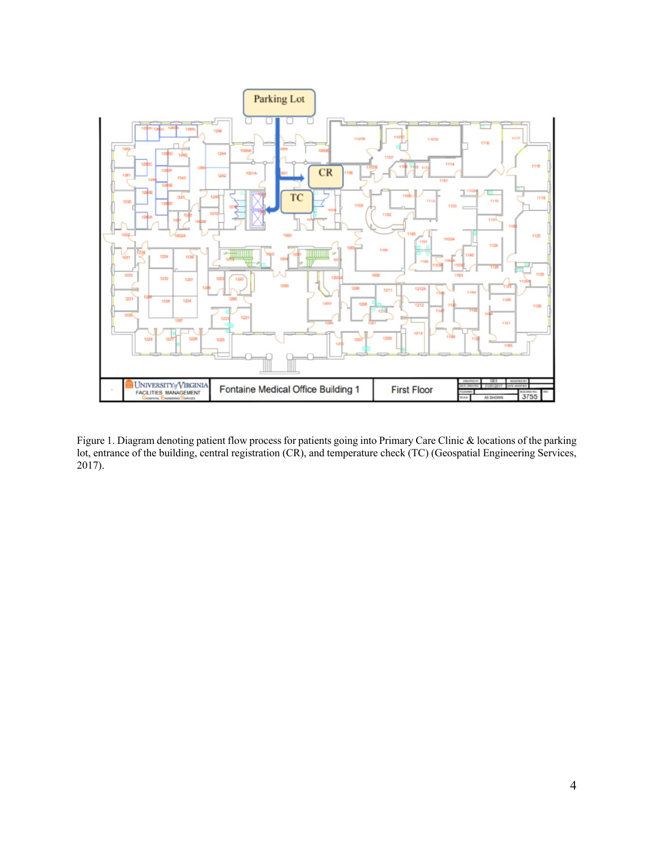

Figure 1. Diagram denoting patient flow process for patients going into Primary Care Clinic & locations of the parking lot, entrance of the building, central registration (CR), and temperature check (TC) (Geospatial Engineering Services, 2017).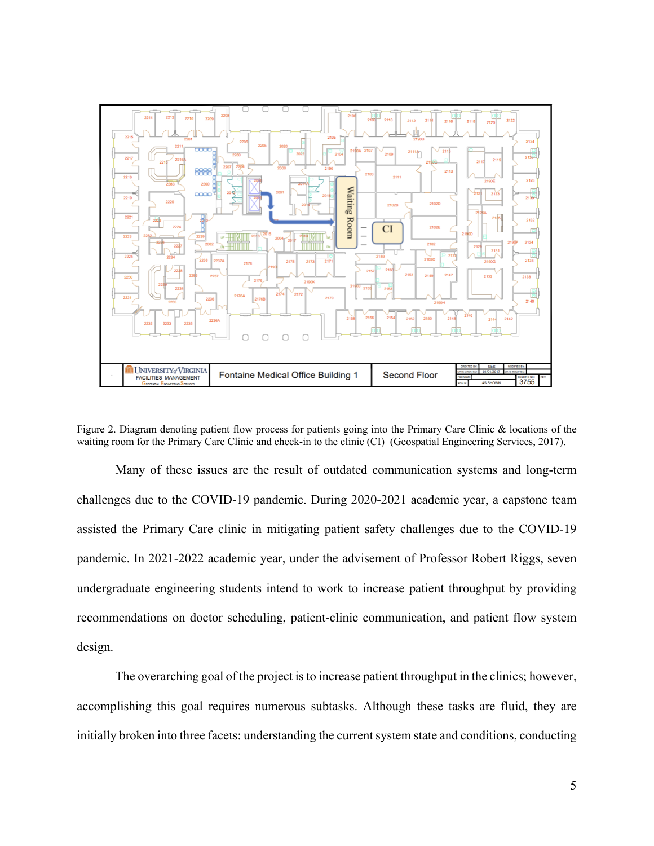

Figure 2. Diagram denoting patient flow process for patients going into the Primary Care Clinic & locations of the waiting room for the Primary Care Clinic and check-in to the clinic (CI) (Geospatial Engineering Services, 2017).

Many of these issues are the result of outdated communication systems and long-term challenges due to the COVID-19 pandemic. During 2020-2021 academic year, a capstone team assisted the Primary Care clinic in mitigating patient safety challenges due to the COVID-19 pandemic. In 2021-2022 academic year, under the advisement of Professor Robert Riggs, seven undergraduate engineering students intend to work to increase patient throughput by providing recommendations on doctor scheduling, patient-clinic communication, and patient flow system design.

The overarching goal of the project is to increase patient throughput in the clinics; however, accomplishing this goal requires numerous subtasks. Although these tasks are fluid, they are initially broken into three facets: understanding the current system state and conditions, conducting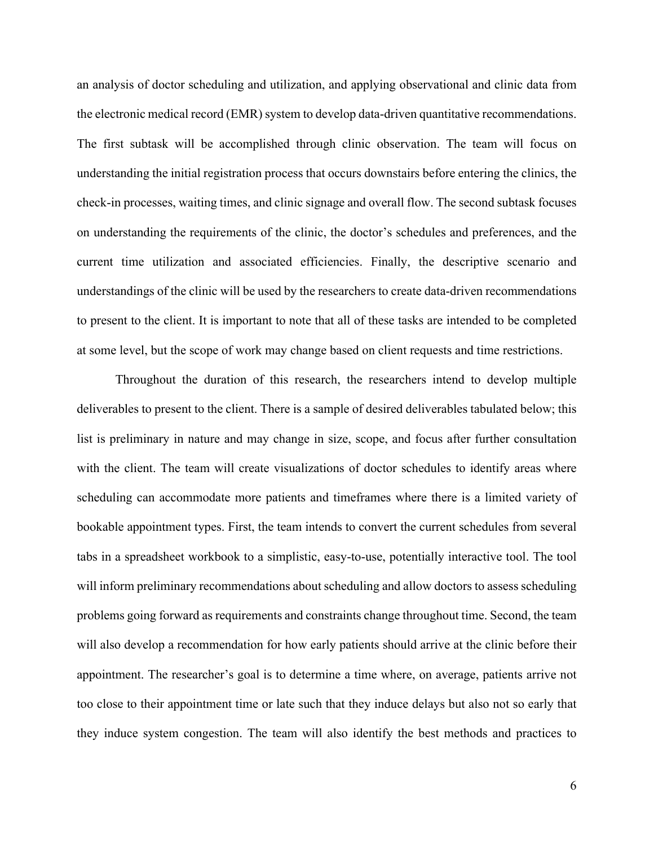an analysis of doctor scheduling and utilization, and applying observational and clinic data from the electronic medical record (EMR) system to develop data-driven quantitative recommendations. The first subtask will be accomplished through clinic observation. The team will focus on understanding the initial registration process that occurs downstairs before entering the clinics, the check-in processes, waiting times, and clinic signage and overall flow. The second subtask focuses on understanding the requirements of the clinic, the doctor's schedules and preferences, and the current time utilization and associated efficiencies. Finally, the descriptive scenario and understandings of the clinic will be used by the researchers to create data-driven recommendations to present to the client. It is important to note that all of these tasks are intended to be completed at some level, but the scope of work may change based on client requests and time restrictions.

Throughout the duration of this research, the researchers intend to develop multiple deliverables to present to the client. There is a sample of desired deliverables tabulated below; this list is preliminary in nature and may change in size, scope, and focus after further consultation with the client. The team will create visualizations of doctor schedules to identify areas where scheduling can accommodate more patients and timeframes where there is a limited variety of bookable appointment types. First, the team intends to convert the current schedules from several tabs in a spreadsheet workbook to a simplistic, easy-to-use, potentially interactive tool. The tool will inform preliminary recommendations about scheduling and allow doctors to assess scheduling problems going forward as requirements and constraints change throughout time. Second, the team will also develop a recommendation for how early patients should arrive at the clinic before their appointment. The researcher's goal is to determine a time where, on average, patients arrive not too close to their appointment time or late such that they induce delays but also not so early that they induce system congestion. The team will also identify the best methods and practices to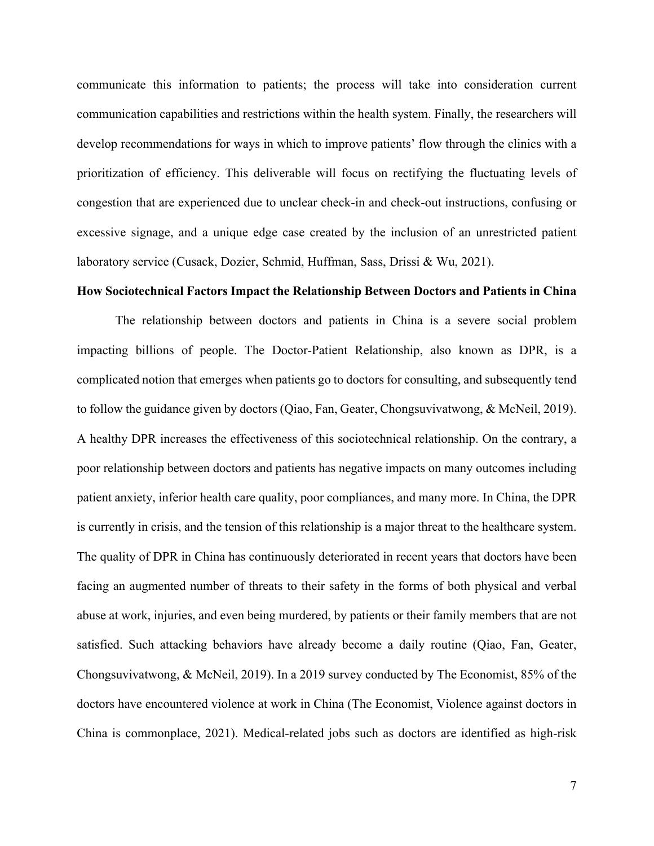communicate this information to patients; the process will take into consideration current communication capabilities and restrictions within the health system. Finally, the researchers will develop recommendations for ways in which to improve patients' flow through the clinics with a prioritization of efficiency. This deliverable will focus on rectifying the fluctuating levels of congestion that are experienced due to unclear check-in and check-out instructions, confusing or excessive signage, and a unique edge case created by the inclusion of an unrestricted patient laboratory service (Cusack, Dozier, Schmid, Huffman, Sass, Drissi & Wu, 2021).

#### **How Sociotechnical Factors Impact the Relationship Between Doctors and Patients in China**

The relationship between doctors and patients in China is a severe social problem impacting billions of people. The Doctor-Patient Relationship, also known as DPR, is a complicated notion that emerges when patients go to doctors for consulting, and subsequently tend to follow the guidance given by doctors (Qiao, Fan, Geater, Chongsuvivatwong, & McNeil, 2019). A healthy DPR increases the effectiveness of this sociotechnical relationship. On the contrary, a poor relationship between doctors and patients has negative impacts on many outcomes including patient anxiety, inferior health care quality, poor compliances, and many more. In China, the DPR is currently in crisis, and the tension of this relationship is a major threat to the healthcare system. The quality of DPR in China has continuously deteriorated in recent years that doctors have been facing an augmented number of threats to their safety in the forms of both physical and verbal abuse at work, injuries, and even being murdered, by patients or their family members that are not satisfied. Such attacking behaviors have already become a daily routine (Qiao, Fan, Geater, Chongsuvivatwong, & McNeil, 2019). In a 2019 survey conducted by The Economist, 85% of the doctors have encountered violence at work in China (The Economist, Violence against doctors in China is commonplace, 2021). Medical-related jobs such as doctors are identified as high-risk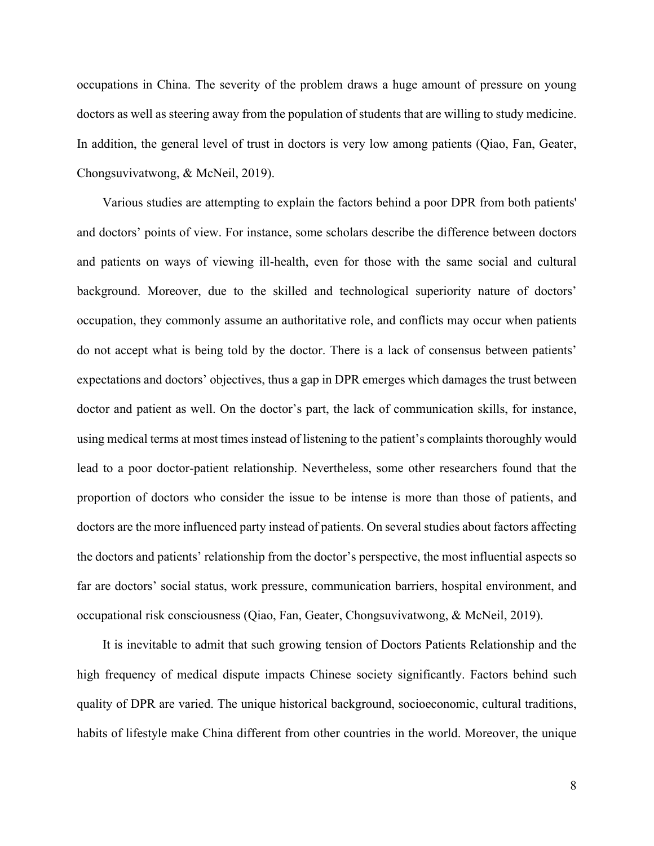occupations in China. The severity of the problem draws a huge amount of pressure on young doctors as well as steering away from the population of students that are willing to study medicine. In addition, the general level of trust in doctors is very low among patients (Qiao, Fan, Geater, Chongsuvivatwong, & McNeil, 2019).

 Various studies are attempting to explain the factors behind a poor DPR from both patients' and doctors' points of view. For instance, some scholars describe the difference between doctors and patients on ways of viewing ill-health, even for those with the same social and cultural background. Moreover, due to the skilled and technological superiority nature of doctors' occupation, they commonly assume an authoritative role, and conflicts may occur when patients do not accept what is being told by the doctor. There is a lack of consensus between patients' expectations and doctors' objectives, thus a gap in DPR emerges which damages the trust between doctor and patient as well. On the doctor's part, the lack of communication skills, for instance, using medical terms at most times instead of listening to the patient's complaints thoroughly would lead to a poor doctor-patient relationship. Nevertheless, some other researchers found that the proportion of doctors who consider the issue to be intense is more than those of patients, and doctors are the more influenced party instead of patients. On several studies about factors affecting the doctors and patients' relationship from the doctor's perspective, the most influential aspects so far are doctors' social status, work pressure, communication barriers, hospital environment, and occupational risk consciousness (Qiao, Fan, Geater, Chongsuvivatwong, & McNeil, 2019).

 It is inevitable to admit that such growing tension of Doctors Patients Relationship and the high frequency of medical dispute impacts Chinese society significantly. Factors behind such quality of DPR are varied. The unique historical background, socioeconomic, cultural traditions, habits of lifestyle make China different from other countries in the world. Moreover, the unique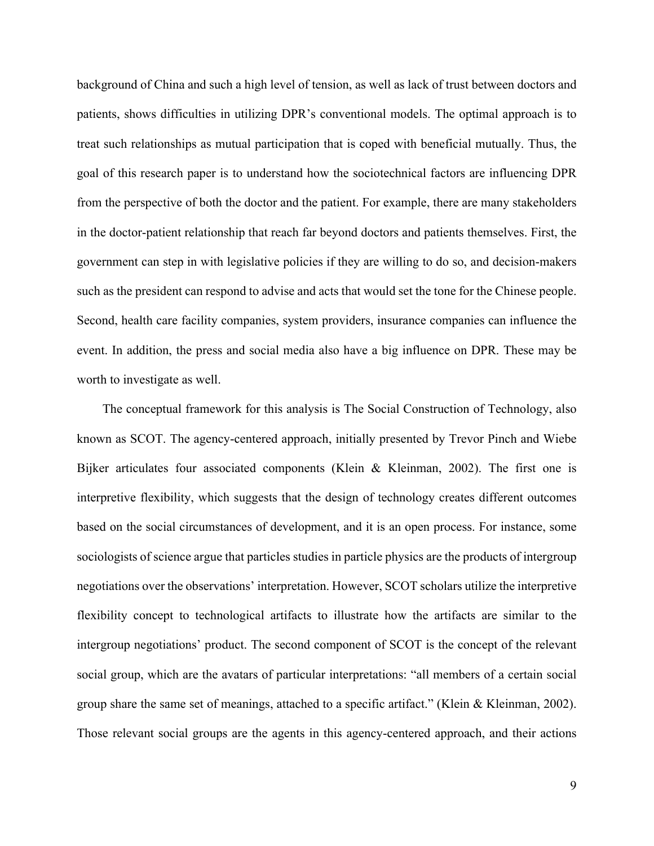background of China and such a high level of tension, as well as lack of trust between doctors and patients, shows difficulties in utilizing DPR's conventional models. The optimal approach is to treat such relationships as mutual participation that is coped with beneficial mutually. Thus, the goal of this research paper is to understand how the sociotechnical factors are influencing DPR from the perspective of both the doctor and the patient. For example, there are many stakeholders in the doctor-patient relationship that reach far beyond doctors and patients themselves. First, the government can step in with legislative policies if they are willing to do so, and decision-makers such as the president can respond to advise and acts that would set the tone for the Chinese people. Second, health care facility companies, system providers, insurance companies can influence the event. In addition, the press and social media also have a big influence on DPR. These may be worth to investigate as well.

 The conceptual framework for this analysis is The Social Construction of Technology, also known as SCOT. The agency-centered approach, initially presented by Trevor Pinch and Wiebe Bijker articulates four associated components (Klein & Kleinman, 2002). The first one is interpretive flexibility, which suggests that the design of technology creates different outcomes based on the social circumstances of development, and it is an open process. For instance, some sociologists of science argue that particles studies in particle physics are the products of intergroup negotiations over the observations' interpretation. However, SCOT scholars utilize the interpretive flexibility concept to technological artifacts to illustrate how the artifacts are similar to the intergroup negotiations' product. The second component of SCOT is the concept of the relevant social group, which are the avatars of particular interpretations: "all members of a certain social group share the same set of meanings, attached to a specific artifact." (Klein & Kleinman, 2002). Those relevant social groups are the agents in this agency-centered approach, and their actions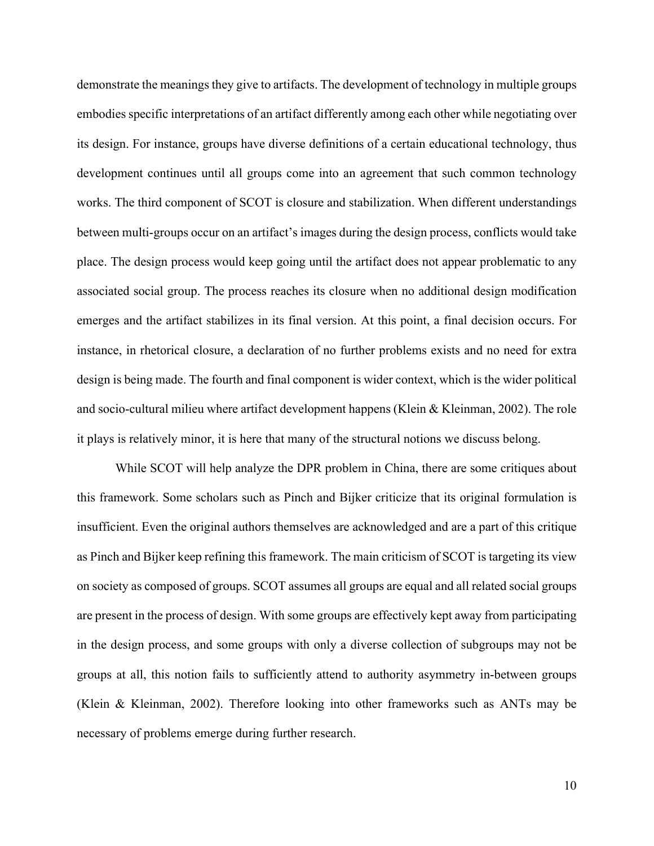demonstrate the meanings they give to artifacts. The development of technology in multiple groups embodies specific interpretations of an artifact differently among each other while negotiating over its design. For instance, groups have diverse definitions of a certain educational technology, thus development continues until all groups come into an agreement that such common technology works. The third component of SCOT is closure and stabilization. When different understandings between multi-groups occur on an artifact's images during the design process, conflicts would take place. The design process would keep going until the artifact does not appear problematic to any associated social group. The process reaches its closure when no additional design modification emerges and the artifact stabilizes in its final version. At this point, a final decision occurs. For instance, in rhetorical closure, a declaration of no further problems exists and no need for extra design is being made. The fourth and final component is wider context, which is the wider political and socio-cultural milieu where artifact development happens (Klein & Kleinman, 2002). The role it plays is relatively minor, it is here that many of the structural notions we discuss belong.

While SCOT will help analyze the DPR problem in China, there are some critiques about this framework. Some scholars such as Pinch and Bijker criticize that its original formulation is insufficient. Even the original authors themselves are acknowledged and are a part of this critique as Pinch and Bijker keep refining this framework. The main criticism of SCOT is targeting its view on society as composed of groups. SCOT assumes all groups are equal and all related social groups are present in the process of design. With some groups are effectively kept away from participating in the design process, and some groups with only a diverse collection of subgroups may not be groups at all, this notion fails to sufficiently attend to authority asymmetry in-between groups (Klein & Kleinman, 2002). Therefore looking into other frameworks such as ANTs may be necessary of problems emerge during further research.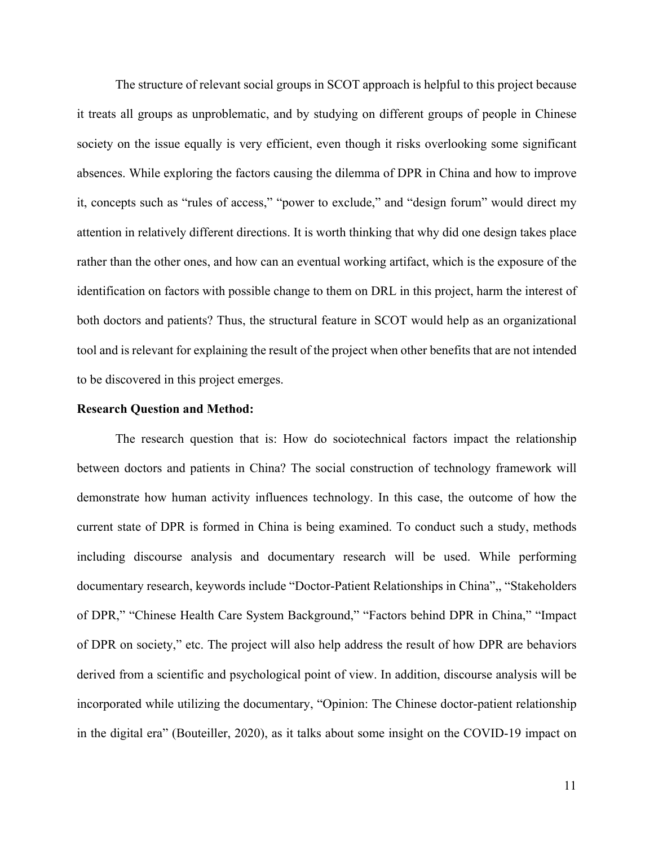The structure of relevant social groups in SCOT approach is helpful to this project because it treats all groups as unproblematic, and by studying on different groups of people in Chinese society on the issue equally is very efficient, even though it risks overlooking some significant absences. While exploring the factors causing the dilemma of DPR in China and how to improve it, concepts such as "rules of access," "power to exclude," and "design forum" would direct my attention in relatively different directions. It is worth thinking that why did one design takes place rather than the other ones, and how can an eventual working artifact, which is the exposure of the identification on factors with possible change to them on DRL in this project, harm the interest of both doctors and patients? Thus, the structural feature in SCOT would help as an organizational tool and is relevant for explaining the result of the project when other benefits that are not intended to be discovered in this project emerges.

#### **Research Question and Method:**

The research question that is: How do sociotechnical factors impact the relationship between doctors and patients in China? The social construction of technology framework will demonstrate how human activity influences technology. In this case, the outcome of how the current state of DPR is formed in China is being examined. To conduct such a study, methods including discourse analysis and documentary research will be used. While performing documentary research, keywords include "Doctor-Patient Relationships in China",, "Stakeholders of DPR," "Chinese Health Care System Background," "Factors behind DPR in China," "Impact of DPR on society," etc. The project will also help address the result of how DPR are behaviors derived from a scientific and psychological point of view. In addition, discourse analysis will be incorporated while utilizing the documentary, "Opinion: The Chinese doctor-patient relationship in the digital era" (Bouteiller, 2020), as it talks about some insight on the COVID-19 impact on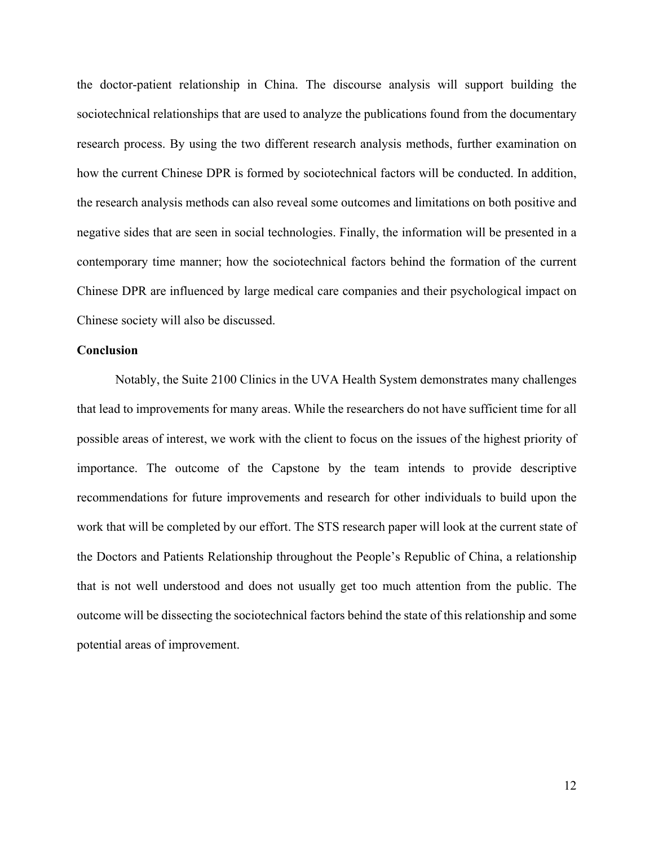the doctor-patient relationship in China. The discourse analysis will support building the sociotechnical relationships that are used to analyze the publications found from the documentary research process. By using the two different research analysis methods, further examination on how the current Chinese DPR is formed by sociotechnical factors will be conducted. In addition, the research analysis methods can also reveal some outcomes and limitations on both positive and negative sides that are seen in social technologies. Finally, the information will be presented in a contemporary time manner; how the sociotechnical factors behind the formation of the current Chinese DPR are influenced by large medical care companies and their psychological impact on Chinese society will also be discussed.

## **Conclusion**

Notably, the Suite 2100 Clinics in the UVA Health System demonstrates many challenges that lead to improvements for many areas. While the researchers do not have sufficient time for all possible areas of interest, we work with the client to focus on the issues of the highest priority of importance. The outcome of the Capstone by the team intends to provide descriptive recommendations for future improvements and research for other individuals to build upon the work that will be completed by our effort. The STS research paper will look at the current state of the Doctors and Patients Relationship throughout the People's Republic of China, a relationship that is not well understood and does not usually get too much attention from the public. The outcome will be dissecting the sociotechnical factors behind the state of this relationship and some potential areas of improvement.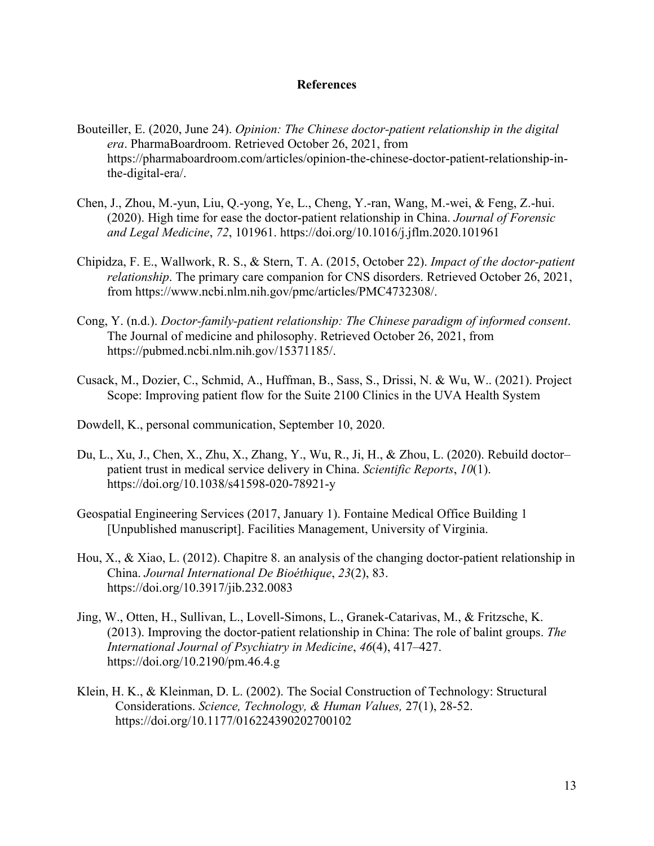## **References**

- Bouteiller, E. (2020, June 24). *Opinion: The Chinese doctor-patient relationship in the digital era*. PharmaBoardroom. Retrieved October 26, 2021, from https://pharmaboardroom.com/articles/opinion-the-chinese-doctor-patient-relationship-inthe-digital-era/.
- Chen, J., Zhou, M.-yun, Liu, Q.-yong, Ye, L., Cheng, Y.-ran, Wang, M.-wei, & Feng, Z.-hui. (2020). High time for ease the doctor-patient relationship in China. *Journal of Forensic and Legal Medicine*, *72*, 101961. https://doi.org/10.1016/j.jflm.2020.101961
- Chipidza, F. E., Wallwork, R. S., & Stern, T. A. (2015, October 22). *Impact of the doctor-patient relationship*. The primary care companion for CNS disorders. Retrieved October 26, 2021, from https://www.ncbi.nlm.nih.gov/pmc/articles/PMC4732308/.
- Cong, Y. (n.d.). *Doctor-family-patient relationship: The Chinese paradigm of informed consent*. The Journal of medicine and philosophy. Retrieved October 26, 2021, from https://pubmed.ncbi.nlm.nih.gov/15371185/.
- Cusack, M., Dozier, C., Schmid, A., Huffman, B., Sass, S., Drissi, N. & Wu, W.. (2021). Project Scope: Improving patient flow for the Suite 2100 Clinics in the UVA Health System
- Dowdell, K., personal communication, September 10, 2020.
- Du, L., Xu, J., Chen, X., Zhu, X., Zhang, Y., Wu, R., Ji, H., & Zhou, L. (2020). Rebuild doctor– patient trust in medical service delivery in China. *Scientific Reports*, *10*(1). https://doi.org/10.1038/s41598-020-78921-y
- Geospatial Engineering Services (2017, January 1). Fontaine Medical Office Building 1 [Unpublished manuscript]. Facilities Management, University of Virginia.
- Hou, X., & Xiao, L. (2012). Chapitre 8. an analysis of the changing doctor-patient relationship in China. *Journal International De Bioéthique*, *23*(2), 83. https://doi.org/10.3917/jib.232.0083
- Jing, W., Otten, H., Sullivan, L., Lovell-Simons, L., Granek-Catarivas, M., & Fritzsche, K. (2013). Improving the doctor-patient relationship in China: The role of balint groups. *The International Journal of Psychiatry in Medicine*, *46*(4), 417–427. https://doi.org/10.2190/pm.46.4.g
- Klein, H. K., & Kleinman, D. L. (2002). The Social Construction of Technology: Structural Considerations. *Science, Technology, & Human Values,* 27(1), 28-52. https://doi.org/10.1177/016224390202700102